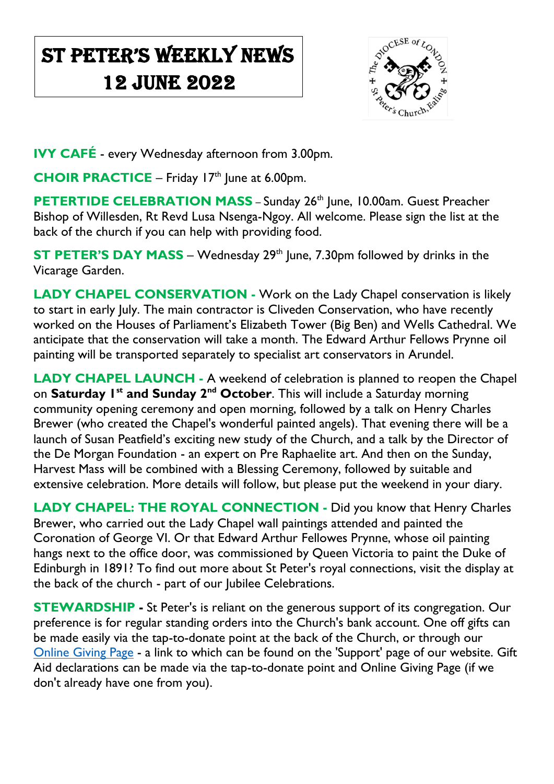## St Peter's Weekly NeWs 12 June 2022

 $\overline{\phantom{a}}$ 



**IVY CAFÉ** - every Wednesday afternoon from 3.00pm.

**CHOIR PRACTICE** – Friday 17<sup>th</sup> June at 6.00pm.

**PETERTIDE CELEBRATION MASS** – Sunday 26<sup>th</sup> June, 10.00am. Guest Preacher Bishop of Willesden, Rt Revd Lusa Nsenga-Ngoy. All welcome. Please sign the list at the back of the church if you can help with providing food.

**ST PETER'S DAY MASS** – Wednesday 29<sup>th</sup> June, 7.30pm followed by drinks in the Vicarage Garden.

**LADY CHAPEL CONSERVATION -** Work on the Lady Chapel conservation is likely to start in early July. The main contractor is Cliveden Conservation, who have recently worked on the Houses of Parliament's Elizabeth Tower (Big Ben) and Wells Cathedral. We anticipate that the conservation will take a month. The Edward Arthur Fellows Prynne oil painting will be transported separately to specialist art conservators in Arundel.

**LADY CHAPEL LAUNCH -** A weekend of celebration is planned to reopen the Chapel on **Saturday 1st and Sunday 2nd October**. This will include a Saturday morning community opening ceremony and open morning, followed by a talk on Henry Charles Brewer (who created the Chapel's wonderful painted angels). That evening there will be a launch of Susan Peatfield's exciting new study of the Church, and a talk by the Director of the De Morgan Foundation - an expert on Pre Raphaelite art. And then on the Sunday, Harvest Mass will be combined with a Blessing Ceremony, followed by suitable and extensive celebration. More details will follow, but please put the weekend in your diary.

**LADY CHAPEL: THE ROYAL CONNECTION -** Did you know that Henry Charles Brewer, who carried out the Lady Chapel wall paintings attended and painted the Coronation of George VI. Or that Edward Arthur Fellowes Prynne, whose oil painting hangs next to the office door, was commissioned by Queen Victoria to paint the Duke of Edinburgh in 1891? To find out more about St Peter's royal connections, visit the display at the back of the church - part of our Jubilee Celebrations.

**STEWARDSHIP** - St Peter's is reliant on the generous support of its congregation. Our preference is for regular standing orders into the Church's bank account. One off gifts can be made easily via the tap-to-donate point at the back of the Church, or through our [Online Giving Page](https://donate.mydona.com/st-peters-ealing) - a link to which can be found on the 'Support' page of our website. Gift Aid declarations can be made via the tap-to-donate point and Online Giving Page (if we don't already have one from you).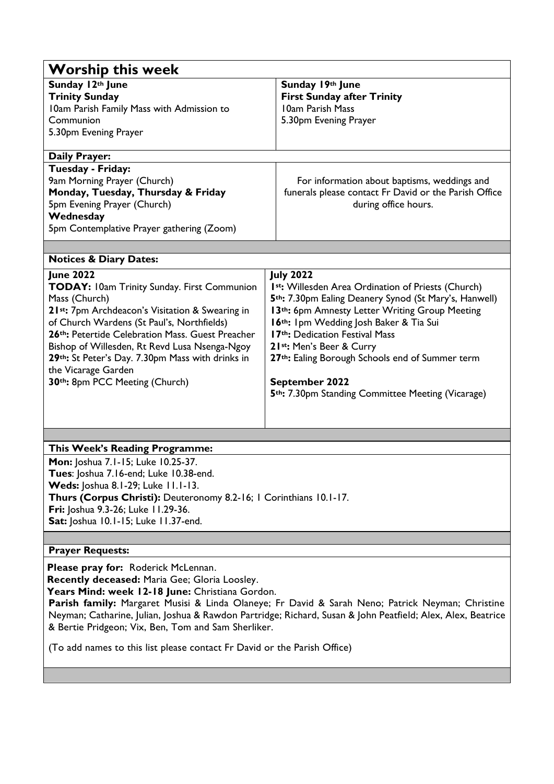| <b>Worship this week</b>                                                                                                                                                                                                                                                                                                                                                                            |                                                                                                                                                                                                                                                                                                                                                                                                                                                            |  |
|-----------------------------------------------------------------------------------------------------------------------------------------------------------------------------------------------------------------------------------------------------------------------------------------------------------------------------------------------------------------------------------------------------|------------------------------------------------------------------------------------------------------------------------------------------------------------------------------------------------------------------------------------------------------------------------------------------------------------------------------------------------------------------------------------------------------------------------------------------------------------|--|
| Sunday 12th June<br><b>Trinity Sunday</b><br>10am Parish Family Mass with Admission to<br>Communion<br>5.30pm Evening Prayer                                                                                                                                                                                                                                                                        | Sunday 19th June<br><b>First Sunday after Trinity</b><br>10am Parish Mass<br>5.30pm Evening Prayer                                                                                                                                                                                                                                                                                                                                                         |  |
| <b>Daily Prayer:</b>                                                                                                                                                                                                                                                                                                                                                                                |                                                                                                                                                                                                                                                                                                                                                                                                                                                            |  |
| Tuesday - Friday:<br>9am Morning Prayer (Church)<br>Monday, Tuesday, Thursday & Friday<br>5pm Evening Prayer (Church)<br>Wednesday<br>5pm Contemplative Prayer gathering (Zoom)                                                                                                                                                                                                                     | For information about baptisms, weddings and<br>funerals please contact Fr David or the Parish Office<br>during office hours.                                                                                                                                                                                                                                                                                                                              |  |
|                                                                                                                                                                                                                                                                                                                                                                                                     |                                                                                                                                                                                                                                                                                                                                                                                                                                                            |  |
| <b>Notices &amp; Diary Dates:</b>                                                                                                                                                                                                                                                                                                                                                                   |                                                                                                                                                                                                                                                                                                                                                                                                                                                            |  |
| <b>June 2022</b><br>TODAY: I0am Trinity Sunday. First Communion<br>Mass (Church)<br>21st: 7pm Archdeacon's Visitation & Swearing in<br>of Church Wardens (St Paul's, Northfields)<br>26th: Petertide Celebration Mass. Guest Preacher<br>Bishop of Willesden, Rt Revd Lusa Nsenga-Ngoy<br>29th: St Peter's Day. 7.30pm Mass with drinks in<br>the Vicarage Garden<br>30th: 8pm PCC Meeting (Church) | <b>July 2022</b><br>Ist: Willesden Area Ordination of Priests (Church)<br>5 <sup>th</sup> : 7.30pm Ealing Deanery Synod (St Mary's, Hanwell)<br>13 <sup>th</sup> : 6pm Amnesty Letter Writing Group Meeting<br>16th: Ipm Wedding Josh Baker & Tia Sui<br>17th: Dedication Festival Mass<br>21st: Men's Beer & Curry<br>27th: Ealing Borough Schools end of Summer term<br>September 2022<br>5 <sup>th</sup> : 7.30pm Standing Committee Meeting (Vicarage) |  |
|                                                                                                                                                                                                                                                                                                                                                                                                     |                                                                                                                                                                                                                                                                                                                                                                                                                                                            |  |
| This Week's Reading Programme:                                                                                                                                                                                                                                                                                                                                                                      |                                                                                                                                                                                                                                                                                                                                                                                                                                                            |  |

**Mon:** Joshua 7.1-15; Luke 10.25-37. **Tues**: Joshua 7.16-end; Luke 10.38-end. **Weds:** Joshua 8.1-29; Luke 11.1-13. **Thurs (Corpus Christi):** Deuteronomy 8.2-16; 1 Corinthians 10.1-17. **Fri:** Joshua 9.3-26; Luke 11.29-36. **Sat:** Joshua 10.1-15; Luke 11.37-end.

## **Prayer Requests:**

**Please pray for:** Roderick McLennan. **Recently deceased:** Maria Gee; Gloria Loosley. Years Mind: week 12-18 June: Christiana Gordon.

**Parish family:** Margaret Musisi & Linda Olaneye; Fr David & Sarah Neno; Patrick Neyman; Christine Neyman; Catharine, Julian, Joshua & Rawdon Partridge; Richard, Susan & John Peatfield; Alex, Alex, Beatrice & Bertie Pridgeon; Vix, Ben, Tom and Sam Sherliker.

(To add names to this list please contact Fr David or the Parish Office)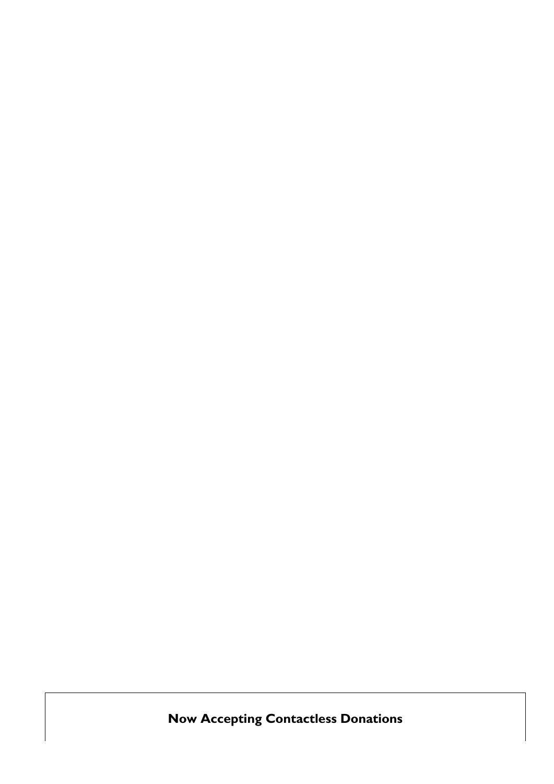**Now Accepting Contactless Donations**